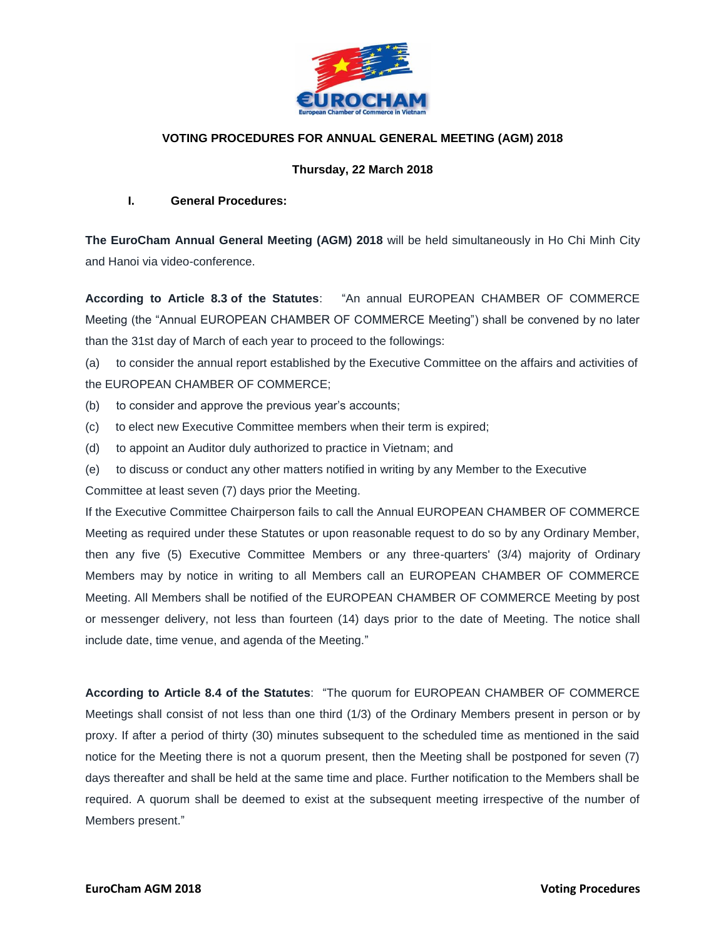

# **VOTING PROCEDURES FOR ANNUAL GENERAL MEETING (AGM) 2018**

## **Thursday, 22 March 2018**

#### **I. General Procedures:**

**The EuroCham Annual General Meeting (AGM) 2018** will be held simultaneously in Ho Chi Minh City and Hanoi via video-conference.

**According to Article 8.3 of the Statutes**: "An annual EUROPEAN CHAMBER OF COMMERCE Meeting (the "Annual EUROPEAN CHAMBER OF COMMERCE Meeting") shall be convened by no later than the 31st day of March of each year to proceed to the followings:

(a) to consider the annual report established by the Executive Committee on the affairs and activities of the EUROPEAN CHAMBER OF COMMERCE;

- (b) to consider and approve the previous year's accounts;
- (c) to elect new Executive Committee members when their term is expired;
- (d) to appoint an Auditor duly authorized to practice in Vietnam; and
- (e) to discuss or conduct any other matters notified in writing by any Member to the Executive

Committee at least seven (7) days prior the Meeting.

If the Executive Committee Chairperson fails to call the Annual EUROPEAN CHAMBER OF COMMERCE Meeting as required under these Statutes or upon reasonable request to do so by any Ordinary Member, then any five (5) Executive Committee Members or any three-quarters' (3/4) majority of Ordinary Members may by notice in writing to all Members call an EUROPEAN CHAMBER OF COMMERCE Meeting. All Members shall be notified of the EUROPEAN CHAMBER OF COMMERCE Meeting by post or messenger delivery, not less than fourteen (14) days prior to the date of Meeting. The notice shall include date, time venue, and agenda of the Meeting."

**According to Article 8.4 of the Statutes**: "The quorum for EUROPEAN CHAMBER OF COMMERCE Meetings shall consist of not less than one third (1/3) of the Ordinary Members present in person or by proxy. If after a period of thirty (30) minutes subsequent to the scheduled time as mentioned in the said notice for the Meeting there is not a quorum present, then the Meeting shall be postponed for seven (7) days thereafter and shall be held at the same time and place. Further notification to the Members shall be required. A quorum shall be deemed to exist at the subsequent meeting irrespective of the number of Members present."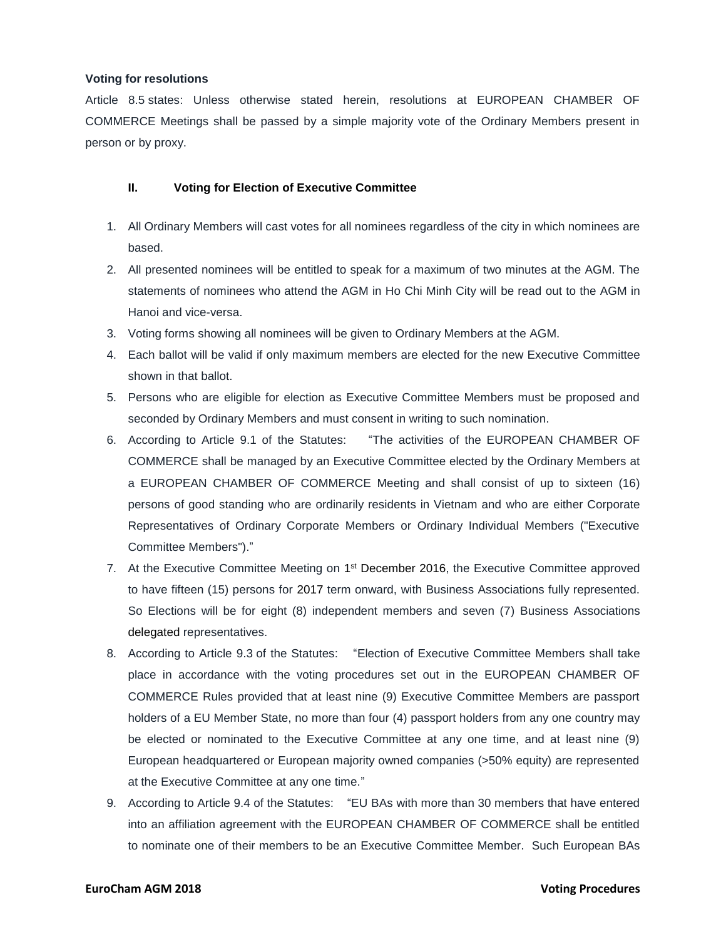#### **Voting for resolutions**

Article 8.5 states: Unless otherwise stated herein, resolutions at EUROPEAN CHAMBER OF COMMERCE Meetings shall be passed by a simple majority vote of the Ordinary Members present in person or by proxy.

### **II. Voting for Election of Executive Committee**

- 1. All Ordinary Members will cast votes for all nominees regardless of the city in which nominees are based.
- 2. All presented nominees will be entitled to speak for a maximum of two minutes at the AGM. The statements of nominees who attend the AGM in Ho Chi Minh City will be read out to the AGM in Hanoi and vice-versa.
- 3. Voting forms showing all nominees will be given to Ordinary Members at the AGM.
- 4. Each ballot will be valid if only maximum members are elected for the new Executive Committee shown in that ballot.
- 5. Persons who are eligible for election as Executive Committee Members must be proposed and seconded by Ordinary Members and must consent in writing to such nomination.
- 6. According to Article 9.1 of the Statutes: "The activities of the EUROPEAN CHAMBER OF COMMERCE shall be managed by an Executive Committee elected by the Ordinary Members at a EUROPEAN CHAMBER OF COMMERCE Meeting and shall consist of up to sixteen (16) persons of good standing who are ordinarily residents in Vietnam and who are either Corporate Representatives of Ordinary Corporate Members or Ordinary Individual Members ("Executive Committee Members")."
- 7. At the Executive Committee Meeting on 1<sup>st</sup> December 2016, the Executive Committee approved to have fifteen (15) persons for 2017 term onward, with Business Associations fully represented. So Elections will be for eight (8) independent members and seven (7) Business Associations delegated representatives.
- 8. According to Article 9.3 of the Statutes: "Election of Executive Committee Members shall take place in accordance with the voting procedures set out in the EUROPEAN CHAMBER OF COMMERCE Rules provided that at least nine (9) Executive Committee Members are passport holders of a EU Member State, no more than four (4) passport holders from any one country may be elected or nominated to the Executive Committee at any one time, and at least nine (9) European headquartered or European majority owned companies (>50% equity) are represented at the Executive Committee at any one time."
- 9. According to Article 9.4 of the Statutes: "EU BAs with more than 30 members that have entered into an affiliation agreement with the EUROPEAN CHAMBER OF COMMERCE shall be entitled to nominate one of their members to be an Executive Committee Member. Such European BAs